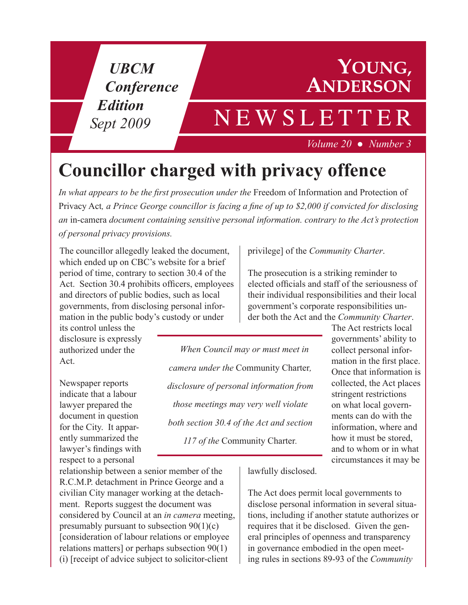*UBCM Conference Edition Sept 2009*

#### **YOUNG, ANDERSON**

# NEWSLETTER *Volume 20 .Number 3*

# **Councillor charged with privacy offence**

*In what appears to be the first prosecution under the* Freedom of Information and Protection of Privacy Act*, a Prince George councillor is facing a fine of up to \$2,000 if convicted for disclosing an* in-camera *document containing sensitive personal information. contrary to the Act's protection of personal privacy provisions.* 

The councillor allegedly leaked the document, which ended up on CBC's website for a brief period of time, contrary to section 30.4 of the Act. Section 30.4 prohibits officers, employees and directors of public bodies, such as local governments, from disclosing personal information in the public body's custody or under

its control unless the disclosure is expressly authorized under the Act.

Newspaper reports indicate that a labour lawyer prepared the document in question for the City. It apparently summarized the lawyer's findings with respect to a personal

relationship between a senior member of the R.C.M.P. detachment in Prince George and a civilian City manager working at the detachment. Reports suggest the document was considered by Council at an *in camera* meeting, presumably pursuant to subsection 90(1)(c) [consideration of labour relations or employee relations matters] or perhaps subsection 90(1) (i) [receipt of advice subject to solicitor-client

privilege] of the *Community Charter*.

The prosecution is a striking reminder to elected officials and staff of the seriousness of their individual responsibilities and their local government's corporate responsibilities under both the Act and the *Community Charter*.

*AfWhen Council may or must meet in camera under the* Community Charter*, disclosure of personal information from those meetings may very well violate both section 30.4 of the Act and section 117 of the* Community Charter*.*

The Act restricts local governments' ability to collect personal information in the first place. Once that information is collected, the Act places stringent restrictions on what local governments can do with the information, where and how it must be stored, and to whom or in what circumstances it may be

lawfully disclosed.

The Act does permit local governments to disclose personal information in several situations, including if another statute authorizes or requires that it be disclosed. Given the general principles of openness and transparency in governance embodied in the open meeting rules in sections 89-93 of the *Community*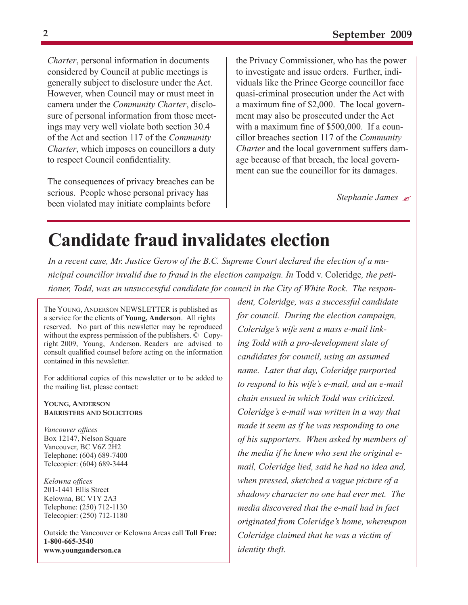*Charter*, personal information in documents considered by Council at public meetings is generally subject to disclosure under the Act. However, when Council may or must meet in camera under the *Community Charter*, disclosure of personal information from those meetings may very well violate both section 30.4 of the Act and section 117 of the *Community Charter*, which imposes on councillors a duty to respect Council confidentiality.

The consequences of privacy breaches can be serious. People whose personal privacy has been violated may initiate complaints before **Stephanie James** *Stephanie James*  $\approx$ 

the Privacy Commissioner, who has the power to investigate and issue orders. Further, individuals like the Prince George councillor face quasi-criminal prosecution under the Act with a maximum fine of \$2,000. The local government may also be prosecuted under the Act with a maximum fine of \$500,000. If a councillor breaches section 117 of the *Community Charter* and the local government suffers damage because of that breach, the local government can sue the councillor for its damages.

### **Candidate fraud invalidates election**

*In a recent case, Mr. Justice Gerow of the B.C. Supreme Court declared the election of a municipal councillor invalid due to fraud in the election campaign. In* Todd v. Coleridge*, the petitioner, Todd, was an unsuccessful candidate for council in the City of White Rock. The respon-*

The YOUNG, ANDERSON NEWSLETTER is published as a service for the clients of **Young, Anderson**. All rights reserved. No part of this newsletter may be reproduced without the express permission of the publishers. © Copyright 2009, Young, Anderson. Readers are advised to consult qualified counsel before acting on the information contained in this newsletter.

For additional copies of this newsletter or to be added to the mailing list, please contact:

**YOUNG, ANDERSON BARRISTERS AND SOLICITORS**

*Vancouver offices* Box 12147, Nelson Square Vancouver, BC V6Z 2H2 Telephone: (604) 689-7400 Telecopier: (604) 689-3444

*Kelowna offices* 201-1441 Ellis Street Kelowna, BC V1Y 2A3 Telephone: (250) 712-1130 Telecopier: (250) 712-1180

Outside the Vancouver or Kelowna Areas call **Toll Free: 1-800-665-3540 www.younganderson.ca**

*dent, Coleridge, was a successful candidate for council. During the election campaign, Coleridge's wife sent a mass e-mail linking Todd with a pro-development slate of candidates for council, using an assumed name. Later that day, Coleridge purported to respond to his wife's e-mail, and an e-mail chain ensued in which Todd was criticized. Coleridge's e-mail was written in a way that made it seem as if he was responding to one of his supporters. When asked by members of the media if he knew who sent the original email, Coleridge lied, said he had no idea and, when pressed, sketched a vague picture of a shadowy character no one had ever met. The media discovered that the e-mail had in fact originated from Coleridge's home, whereupon Coleridge claimed that he was a victim of identity theft.*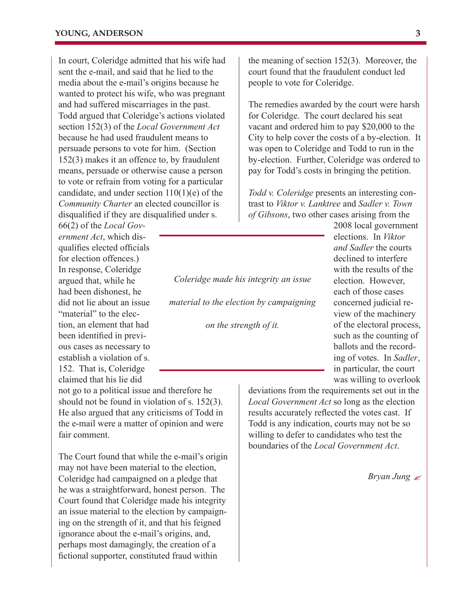In court, Coleridge admitted that his wife had sent the e-mail, and said that he lied to the media about the e-mail's origins because he wanted to protect his wife, who was pregnant and had suffered miscarriages in the past. Todd argued that Coleridge's actions violated section 152(3) of the *Local Government Act*  because he had used fraudulent means to persuade persons to vote for him. (Section 152(3) makes it an offence to, by fraudulent means, persuade or otherwise cause a person to vote or refrain from voting for a particular candidate, and under section 110(1)(e) of the *Community Charter* an elected councillor is disqualified if they are disqualified under s.

66(2) of the *Local Government Act*, which disqualifies elected officials for election offences.) In response, Coleridge argued that, while he had been dishonest, he did not lie about an issue "material" to the election, an element that had been identified in previous cases as necessary to establish a violation of s. 152. That is, Coleridge claimed that his lie did

not go to a political issue and therefore he should not be found in violation of s. 152(3). He also argued that any criticisms of Todd in the e-mail were a matter of opinion and were fair comment.

The Court found that while the e-mail's origin may not have been material to the election, Coleridge had campaigned on a pledge that he was a straightforward, honest person. The Court found that Coleridge made his integrity an issue material to the election by campaigning on the strength of it, and that his feigned ignorance about the e-mail's origins, and, perhaps most damagingly, the creation of a fictional supporter, constituted fraud within

the meaning of section 152(3). Moreover, the court found that the fraudulent conduct led people to vote for Coleridge.

The remedies awarded by the court were harsh for Coleridge. The court declared his seat vacant and ordered him to pay \$20,000 to the City to help cover the costs of a by-election. It was open to Coleridge and Todd to run in the by-election. Further, Coleridge was ordered to pay for Todd's costs in bringing the petition.

*Todd v. Coleridge* presents an interesting contrast to *Viktor v. Lanktree* and *Sadler v. Town of Gibsons*, two other cases arising from the

*Coleridge made his integrity an issue material to the election by campaigning* 

*on the strength of it.*

2008 local government elections. In *Viktor and Sadler* the courts declined to interfere with the results of the election. However, each of those cases concerned judicial review of the machinery of the electoral process, such as the counting of ballots and the recording of votes. In *Sadler*, in particular, the court was willing to overlook

deviations from the requirements set out in the *Local Government Act* so long as the election results accurately reflected the votes cast. If Todd is any indication, courts may not be so willing to defer to candidates who test the boundaries of the *Local Government Act*.

*Bryan Jung*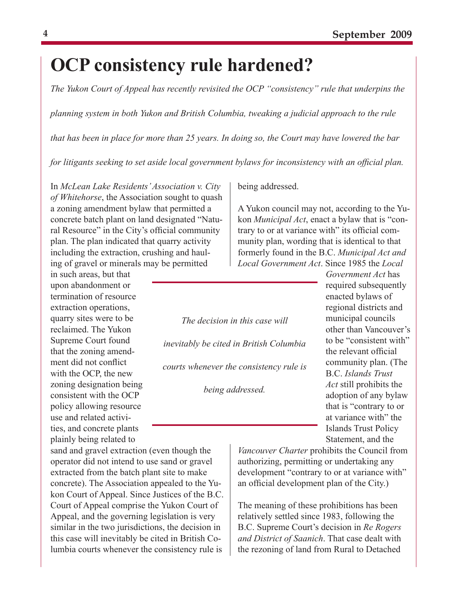# **OCP consistency rule hardened?**

*The Yukon Court of Appeal has recently revisited the OCP "consistency" rule that underpins the* 

*planning system in both Yukon and British Columbia, tweaking a judicial approach to the rule* 

*that has been in place for more than 25 years. In doing so, the Court may have lowered the bar* 

*for litigants seeking to set aside local government bylaws for inconsistency with an official plan.*

In *McLean Lake Residents' Association v. City of Whitehorse*, the Association sought to quash a zoning amendment bylaw that permitted a concrete batch plant on land designated "Natural Resource" in the City's official community plan. The plan indicated that quarry activity including the extraction, crushing and hauling of gravel or minerals may be permitted

in such areas, but that upon abandonment or termination of resource extraction operations, quarry sites were to be reclaimed. The Yukon Supreme Court found that the zoning amendment did not conflict with the OCP, the new zoning designation being consistent with the OCP policy allowing resource use and related activities, and concrete plants plainly being related to

sand and gravel extraction (even though the operator did not intend to use sand or gravel extracted from the batch plant site to make concrete). The Association appealed to the Yukon Court of Appeal. Since Justices of the B.C. Court of Appeal comprise the Yukon Court of Appeal, and the governing legislation is very similar in the two jurisdictions, the decision in this case will inevitably be cited in British Columbia courts whenever the consistency rule is

being addressed.

A Yukon council may not, according to the Yukon *Municipal Act*, enact a bylaw that is "contrary to or at variance with" its official community plan, wording that is identical to that formerly found in the B.C. *Municipal Act and Local Government Act*. Since 1985 the *Local* 

*The decision in this case will inevitably be cited in British Columbia courts whenever the consistency rule is* 

*being addressed.*

*Government Act* has required subsequently enacted bylaws of regional districts and municipal councils other than Vancouver's to be "consistent with" the relevant official community plan. (The B.C. *Islands Trust Act* still prohibits the adoption of any bylaw that is "contrary to or at variance with" the Islands Trust Policy Statement, and the

*Vancouver Charter* prohibits the Council from authorizing, permitting or undertaking any development "contrary to or at variance with" an official development plan of the City.)

The meaning of these prohibitions has been relatively settled since 1983, following the B.C. Supreme Court's decision in *Re Rogers and District of Saanich*. That case dealt with the rezoning of land from Rural to Detached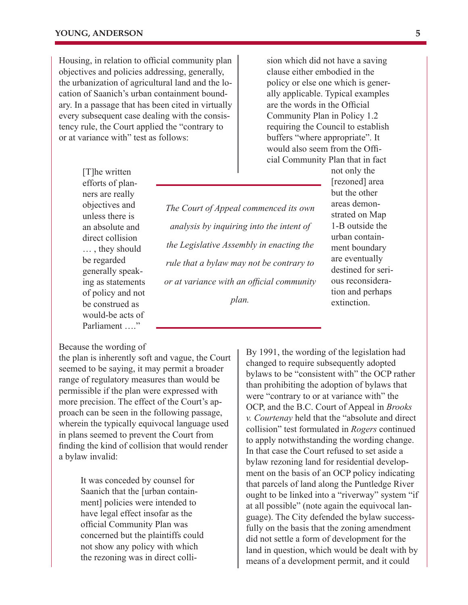Housing, in relation to official community plan objectives and policies addressing, generally, the urbanization of agricultural land and the location of Saanich's urban containment boundary. In a passage that has been cited in virtually every subsequent case dealing with the consistency rule, the Court applied the "contrary to or at variance with" test as follows:

> [T]he written efforts of planners are really objectives and unless there is an absolute and direct collision … , they should be regarded generally speaking as statements of policy and not be construed as would-be acts of Parliament ...."

*The Court of Appeal commenced its own analysis by inquiring into the intent of the Legislative Assembly in enacting the rule that a bylaw may not be contrary to or at variance with an official community plan.*

buffers "where appropriate". It would also seem from the Official Community Plan that in fact not only the [rezoned] area but the other areas demonstrated on Map 1-B outside the urban containment boundary are eventually destined for serious reconsidera-

> tion and perhaps extinction.

sion which did not have a saving clause either embodied in the policy or else one which is generally applicable. Typical examples are the words in the Official Community Plan in Policy 1.2 requiring the Council to establish

Because the wording of

the plan is inherently soft and vague, the Court seemed to be saying, it may permit a broader range of regulatory measures than would be permissible if the plan were expressed with more precision. The effect of the Court's approach can be seen in the following passage, wherein the typically equivocal language used in plans seemed to prevent the Court from finding the kind of collision that would render a bylaw invalid:

> It was conceded by counsel for Saanich that the [urban containment] policies were intended to have legal effect insofar as the official Community Plan was concerned but the plaintiffs could not show any policy with which the rezoning was in direct colli

By 1991, the wording of the legislation had changed to require subsequently adopted bylaws to be "consistent with" the OCP rather than prohibiting the adoption of bylaws that were "contrary to or at variance with" the OCP, and the B.C. Court of Appeal in *Brooks v. Courtenay* held that the "absolute and direct collision" test formulated in *Rogers* continued to apply notwithstanding the wording change. In that case the Court refused to set aside a bylaw rezoning land for residential development on the basis of an OCP policy indicating that parcels of land along the Puntledge River ought to be linked into a "riverway" system "if at all possible" (note again the equivocal language). The City defended the bylaw successfully on the basis that the zoning amendment did not settle a form of development for the land in question, which would be dealt with by means of a development permit, and it could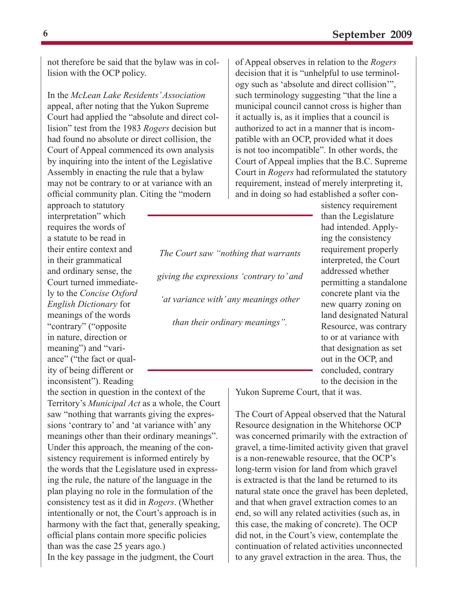not therefore be said that the bylaw was in collision with the OCP policy.

In the *McLean Lake Residents' Association*  appeal, after noting that the Yukon Supreme Court had applied the "absolute and direct collision" test from the 1983 *Rogers* decision but had found no absolute or direct collision, the Court of Appeal commenced its own analysis by inquiring into the intent of the Legislative Assembly in enacting the rule that a bylaw may not be contrary to or at variance with an official community plan. Citing the "modern

approach to statutory interpretation" which requires the words of a statute to be read in their entire context and in their grammatical and ordinary sense, the Court turned immediately to the *Concise Oxford English Dictionary* for meanings of the words "contrary" ("opposite in nature, direction or meaning") and "variance" ("the fact or quality of being different or inconsistent"). Reading

the section in question in the context of the Territory's *Municipal Act* as a whole, the Court saw "nothing that warrants giving the expressions 'contrary to' and 'at variance with' any meanings other than their ordinary meanings". Under this approach, the meaning of the consistency requirement is informed entirely by the words that the Legislature used in expressing the rule, the nature of the language in the plan playing no role in the formulation of the consistency test as it did in *Rogers*. (Whether intentionally or not, the Court's approach is in harmony with the fact that, generally speaking, official plans contain more specific policies than was the case 25 years ago.) In the key passage in the judgment, the Court

of Appeal observes in relation to the *Rogers* decision that it is "unhelpful to use terminology such as 'absolute and direct collision'", such terminology suggesting "that the line a municipal council cannot cross is higher than it actually is, as it implies that a council is authorized to act in a manner that is incompatible with an OCP, provided what it does is not too incompatible". In other words, the Court of Appeal implies that the B.C. Supreme Court in *Rogers* had reformulated the statutory requirement, instead of merely interpreting it, and in doing so had established a softer con-

*The Court saw "nothing that warrants giving the expressions 'contrary to' and 'at variance with' any meanings other than their ordinary meanings".*

sistency requirement than the Legislature had intended. Applying the consistency requirement properly interpreted, the Court addressed whether permitting a standalone concrete plant via the new quarry zoning on land designated Natural Resource, was contrary to or at variance with that designation as set out in the OCP, and concluded, contrary to the decision in the

Yukon Supreme Court, that it was.

The Court of Appeal observed that the Natural Resource designation in the Whitehorse OCP was concerned primarily with the extraction of gravel, a time-limited activity given that gravel is a non-renewable resource, that the OCP's long-term vision for land from which gravel is extracted is that the land be returned to its natural state once the gravel has been depleted, and that when gravel extraction comes to an end, so will any related activities (such as, in this case, the making of concrete). The OCP did not, in the Court's view, contemplate the continuation of related activities unconnected to any gravel extraction in the area. Thus, the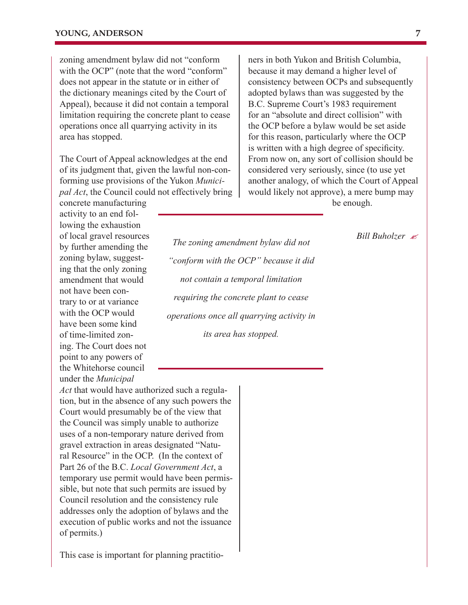activity to an end fol-

under the *Municipal* 

zoning amendment bylaw did not "conform with the OCP" (note that the word "conform" does not appear in the statute or in either of the dictionary meanings cited by the Court of Appeal), because it did not contain a temporal limitation requiring the concrete plant to cease operations once all quarrying activity in its area has stopped.

The Court of Appeal acknowledges at the end of its judgment that, given the lawful non-conforming use provisions of the Yukon *Municipal Act*, the Council could not effectively bring concrete manufacturing

ners in both Yukon and British Columbia, because it may demand a higher level of consistency between OCPs and subsequently adopted bylaws than was suggested by the B.C. Supreme Court's 1983 requirement for an "absolute and direct collision" with the OCP before a bylaw would be set aside for this reason, particularly where the OCP is written with a high degree of specificity. From now on, any sort of collision should be considered very seriously, since (to use yet another analogy, of which the Court of Appeal would likely not approve), a mere bump may be enough.

lowing the exhaustion of local gravel resources by further amending the zoning bylaw, suggesting that the only zoning amendment that would not have been contrary to or at variance with the OCP would have been some kind of time-limited zoning. The Court does not point to any powers of the Whitehorse council

*The zoning amendment bylaw did not "conform with the OCP" because it did not contain a temporal limitation requiring the concrete plant to cease operations once all quarrying activity in its area has stopped.*

*Bill Buholzer*

*Act* that would have authorized such a regulation, but in the absence of any such powers the Court would presumably be of the view that the Council was simply unable to authorize uses of a non-temporary nature derived from gravel extraction in areas designated "Natural Resource" in the OCP. (In the context of Part 26 of the B.C. *Local Government Act*, a temporary use permit would have been permissible, but note that such permits are issued by Council resolution and the consistency rule addresses only the adoption of bylaws and the execution of public works and not the issuance of permits.)

This case is important for planning practitio-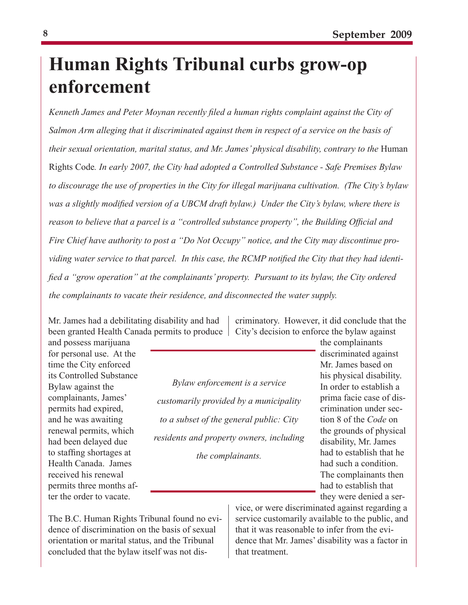# **Human Rights Tribunal curbs grow-op enforcement**

*Kenneth James and Peter Moynan recently filed a human rights complaint against the City of Salmon Arm alleging that it discriminated against them in respect of a service on the basis of their sexual orientation, marital status, and Mr. James' physical disability, contrary to the* Human Rights Code*. In early 2007, the City had adopted a Controlled Substance - Safe Premises Bylaw to discourage the use of properties in the City for illegal marijuana cultivation. (The City's bylaw was a slightly modified version of a UBCM draft bylaw.) Under the City's bylaw, where there is reason to believe that a parcel is a "controlled substance property", the Building Official and Fire Chief have authority to post a "Do Not Occupy" notice, and the City may discontinue providing water service to that parcel. In this case, the RCMP notified the City that they had identified a "grow operation" at the complainants' property. Pursuant to its bylaw, the City ordered the complainants to vacate their residence, and disconnected the water supply.*

Mr. James had a debilitating disability and had been granted Health Canada permits to produce

and possess marijuana for personal use. At the time the City enforced its Controlled Substance Bylaw against the complainants, James' permits had expired, and he was awaiting renewal permits, which had been delayed due to staffing shortages at Health Canada. James received his renewal permits three months after the order to vacate.

*Bylaw enforcement is a service customarily provided by a municipality to a subset of the general public: City residents and property owners, including the complainants.*

criminatory. However, it did conclude that the City's decision to enforce the bylaw against

> the complainants discriminated against Mr. James based on his physical disability. In order to establish a prima facie case of discrimination under section 8 of the *Code* on the grounds of physical disability, Mr. James had to establish that he had such a condition. The complainants then had to establish that they were denied a ser-

The B.C. Human Rights Tribunal found no evidence of discrimination on the basis of sexual orientation or marital status, and the Tribunal concluded that the bylaw itself was not disvice, or were discriminated against regarding a service customarily available to the public, and that it was reasonable to infer from the evidence that Mr. James' disability was a factor in that treatment.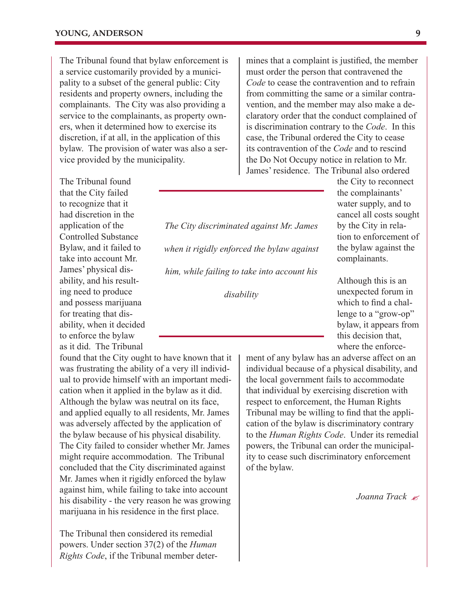The Tribunal found that bylaw enforcement is a service customarily provided by a municipality to a subset of the general public: City residents and property owners, including the complainants. The City was also providing a service to the complainants, as property owners, when it determined how to exercise its discretion, if at all, in the application of this bylaw. The provision of water was also a service provided by the municipality.

The Tribunal found that the City failed to recognize that it had discretion in the application of the Controlled Substance Bylaw, and it failed to take into account Mr. James' physical disability, and his resulting need to produce and possess marijuana for treating that disability, when it decided to enforce the bylaw as it did. The Tribunal

found that the City ought to have known that it was frustrating the ability of a very ill individual to provide himself with an important medication when it applied in the bylaw as it did. Although the bylaw was neutral on its face, and applied equally to all residents, Mr. James was adversely affected by the application of the bylaw because of his physical disability. The City failed to consider whether Mr. James might require accommodation. The Tribunal concluded that the City discriminated against Mr. James when it rigidly enforced the bylaw against him, while failing to take into account his disability - the very reason he was growing marijuana in his residence in the first place.

The Tribunal then considered its remedial powers. Under section 37(2) of the *Human Rights Code*, if the Tribunal member determines that a complaint is justified, the member must order the person that contravened the *Code* to cease the contravention and to refrain from committing the same or a similar contravention, and the member may also make a declaratory order that the conduct complained of is discrimination contrary to the *Code*. In this case, the Tribunal ordered the City to cease its contravention of the *Code* and to rescind the Do Not Occupy notice in relation to Mr. James' residence. The Tribunal also ordered

*The City discriminated against Mr. James when it rigidly enforced the bylaw against him, while failing to take into account his disability*

the City to reconnect the complainants' water supply, and to cancel all costs sought by the City in relation to enforcement of the bylaw against the complainants.

Although this is an unexpected forum in which to find a challenge to a "grow-op" bylaw, it appears from this decision that, where the enforce-

ment of any bylaw has an adverse affect on an individual because of a physical disability, and the local government fails to accommodate that individual by exercising discretion with respect to enforcement, the Human Rights Tribunal may be willing to find that the application of the bylaw is discriminatory contrary to the *Human Rights Code*. Under its remedial powers, the Tribunal can order the municipality to cease such discriminatory enforcement of the bylaw.

*Joanna Track*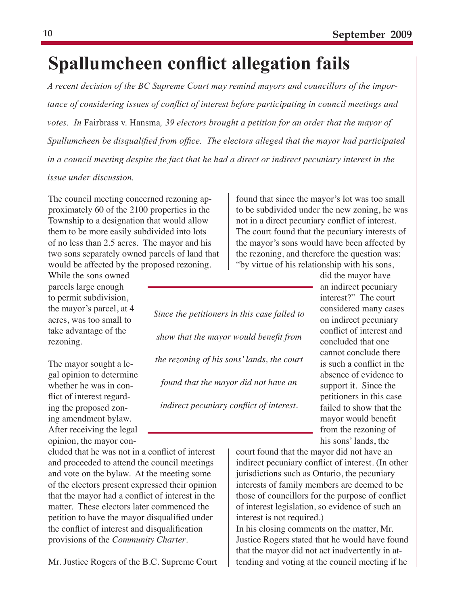# **Spallumcheen conflict allegation fails**

*A recent decision of the BC Supreme Court may remind mayors and councillors of the importance of considering issues of conflict of interest before participating in council meetings and votes. In* Fairbrass v. Hansma*, 39 electors brought a petition for an order that the mayor of Spullumcheen be disqualified from office. The electors alleged that the mayor had participated in a council meeting despite the fact that he had a direct or indirect pecuniary interest in the issue under discussion.*

The council meeting concerned rezoning approximately 60 of the 2100 properties in the Township to a designation that would allow them to be more easily subdivided into lots of no less than 2.5 acres. The mayor and his two sons separately owned parcels of land that would be affected by the proposed rezoning.

While the sons owned parcels large enough to permit subdivision, the mayor's parcel, at 4 acres, was too small to take advantage of the rezoning.

The mayor sought a legal opinion to determine whether he was in conflict of interest regarding the proposed zoning amendment bylaw. After receiving the legal opinion, the mayor con-

cluded that he was not in a conflict of interest and proceeded to attend the council meetings and vote on the bylaw. At the meeting some of the electors present expressed their opinion that the mayor had a conflict of interest in the matter. These electors later commenced the petition to have the mayor disqualified under the conflict of interest and disqualification provisions of the *Community Charter*.

Mr. Justice Rogers of the B.C. Supreme Court

*Since the petitioners in this case failed to show that the mayor would benefit from the rezoning of his sons' lands, the court found that the mayor did not have an indirect pecuniary conflict of interest.*

found that since the mayor's lot was too small to be subdivided under the new zoning, he was not in a direct pecuniary conflict of interest. The court found that the pecuniary interests of the mayor's sons would have been affected by the rezoning, and therefore the question was: "by virtue of his relationship with his sons,

> did the mayor have an indirect pecuniary interest?" The court considered many cases on indirect pecuniary conflict of interest and concluded that one cannot conclude there is such a conflict in the absence of evidence to support it. Since the petitioners in this case failed to show that the mayor would benefit from the rezoning of his sons' lands, the

court found that the mayor did not have an indirect pecuniary conflict of interest. (In other jurisdictions such as Ontario, the pecuniary interests of family members are deemed to be those of councillors for the purpose of conflict of interest legislation, so evidence of such an interest is not required.)

In his closing comments on the matter, Mr. Justice Rogers stated that he would have found that the mayor did not act inadvertently in attending and voting at the council meeting if he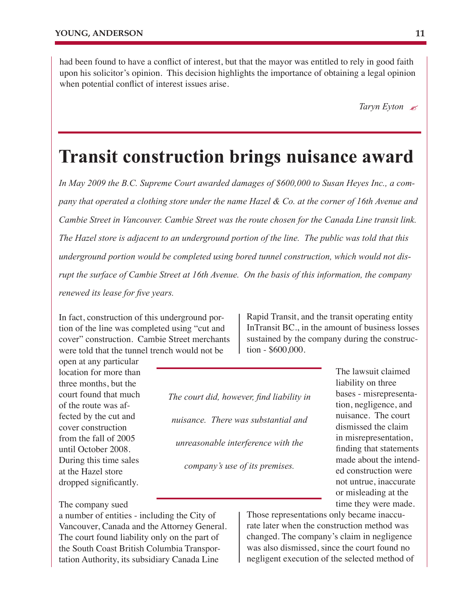had been found to have a conflict of interest, but that the mayor was entitled to rely in good faith upon his solicitor's opinion. This decision highlights the importance of obtaining a legal opinion when potential conflict of interest issues arise.

*Taryn Eyton*

#### **Transit construction brings nuisance award**

*In May 2009 the B.C. Supreme Court awarded damages of \$600,000 to Susan Heyes Inc., a company that operated a clothing store under the name Hazel & Co. at the corner of 16th Avenue and Cambie Street in Vancouver. Cambie Street was the route chosen for the Canada Line transit link. The Hazel store is adjacent to an underground portion of the line. The public was told that this underground portion would be completed using bored tunnel construction, which would not disrupt the surface of Cambie Street at 16th Avenue. On the basis of this information, the company renewed its lease for five years.*

In fact, construction of this underground portion of the line was completed using "cut and cover" construction. Cambie Street merchants were told that the tunnel trench would not be

open at any particular location for more than three months, but the court found that much of the route was affected by the cut and cover construction from the fall of 2005 until October 2008. During this time sales at the Hazel store dropped significantly.

*The court did, however, find liability in nuisance. There was substantial and unreasonable interference with the* 

*company's use of its premises.*

The lawsuit claimed liability on three bases - misrepresentation, negligence, and nuisance. The court dismissed the claim in misrepresentation, finding that statements made about the intended construction were not untrue, inaccurate or misleading at the time they were made.

The company sued

a number of entities - including the City of Vancouver, Canada and the Attorney General. The court found liability only on the part of the South Coast British Columbia Transportation Authority, its subsidiary Canada Line

Those representations only became inaccurate later when the construction method was changed. The company's claim in negligence was also dismissed, since the court found no negligent execution of the selected method of

Rapid Transit, and the transit operating entity InTransit BC., in the amount of business losses sustained by the company during the construction - \$600,000.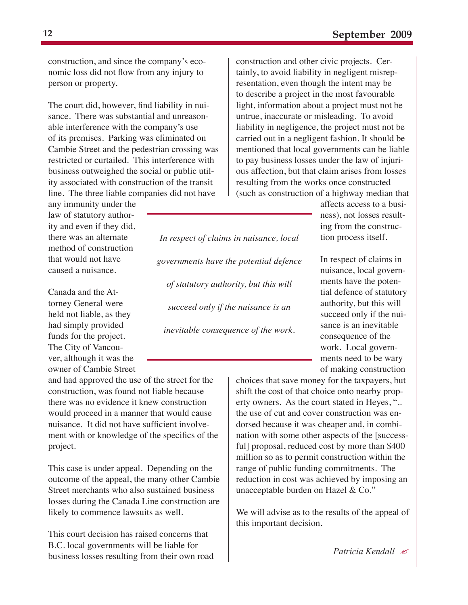construction, and since the company's economic loss did not flow from any injury to person or property.

The court did, however, find liability in nuisance. There was substantial and unreasonable interference with the company's use of its premises. Parking was eliminated on Cambie Street and the pedestrian crossing was restricted or curtailed. This interference with business outweighed the social or public utility associated with construction of the transit line. The three liable companies did not have

any immunity under the law of statutory authority and even if they did, there was an alternate method of construction that would not have caused a nuisance.

Canada and the Attorney General were held not liable, as they had simply provided funds for the project. The City of Vancouver, although it was the owner of Cambie Street

and had approved the use of the street for the construction, was found not liable because there was no evidence it knew construction would proceed in a manner that would cause nuisance. It did not have sufficient involvement with or knowledge of the specifics of the project.

This case is under appeal. Depending on the outcome of the appeal, the many other Cambie Street merchants who also sustained business losses during the Canada Line construction are likely to commence lawsuits as well.

This court decision has raised concerns that B.C. local governments will be liable for business losses resulting from their own road construction and other civic projects. Certainly, to avoid liability in negligent misrepresentation, even though the intent may be to describe a project in the most favourable light, information about a project must not be untrue, inaccurate or misleading. To avoid liability in negligence, the project must not be carried out in a negligent fashion. It should be mentioned that local governments can be liable to pay business losses under the law of injurious affection, but that claim arises from losses resulting from the works once constructed (such as construction of a highway median that

> affects access to a business), not losses resulting from the construction process itself.

In respect of claims in nuisance, local governments have the potential defence of statutory authority, but this will succeed only if the nuisance is an inevitable consequence of the work. Local governments need to be wary of making construction

choices that save money for the taxpayers, but shift the cost of that choice onto nearby property owners. As the court stated in Heyes, ".. the use of cut and cover construction was endorsed because it was cheaper and, in combination with some other aspects of the [successful] proposal, reduced cost by more than \$400 million so as to permit construction within the range of public funding commitments. The reduction in cost was achieved by imposing an unacceptable burden on Hazel & Co."

We will advise as to the results of the appeal of this important decision.

*Patricia Kendall*

*In respect of claims in nuisance, local governments have the potential defence of statutory authority, but this will succeed only if the nuisance is an inevitable consequence of the work.*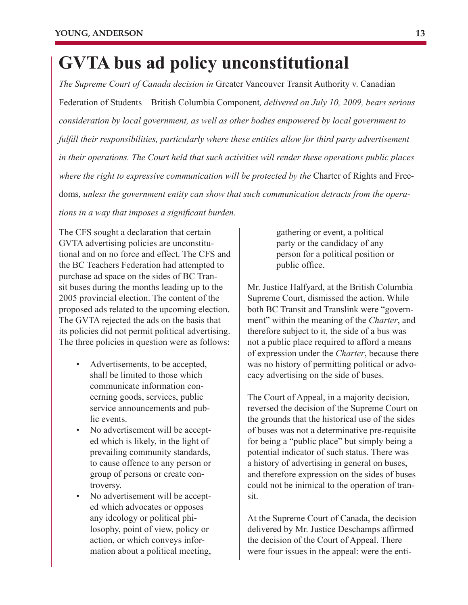## **GVTA bus ad policy unconstitutional**

*The Supreme Court of Canada decision in* Greater Vancouver Transit Authority v. Canadian Federation of Students – British Columbia Component*, delivered on July 10, 2009, bears serious consideration by local government, as well as other bodies empowered by local government to fulfill their responsibilities, particularly where these entities allow for third party advertisement in their operations. The Court held that such activities will render these operations public places where the right to expressive communication will be protected by the Charter of Rights and Free*doms*, unless the government entity can show that such communication detracts from the operations in a way that imposes a significant burden.* 

The CFS sought a declaration that certain GVTA advertising policies are unconstitutional and on no force and effect. The CFS and the BC Teachers Federation had attempted to purchase ad space on the sides of BC Transit buses during the months leading up to the 2005 provincial election. The content of the proposed ads related to the upcoming election. The GVTA rejected the ads on the basis that its policies did not permit political advertising. The three policies in question were as follows:

- Advertisements, to be accepted, shall be limited to those which communicate information concerning goods, services, public service announcements and public events.
- No advertisement will be accepted which is likely, in the light of prevailing community standards, to cause offence to any person or group of persons or create controversy.
- No advertisement will be accepted which advocates or opposes any ideology or political philosophy, point of view, policy or action, or which conveys information about a political meeting,

gathering or event, a political party or the candidacy of any person for a political position or public office.

Mr. Justice Halfyard, at the British Columbia Supreme Court, dismissed the action. While both BC Transit and Translink were "government" within the meaning of the *Charter*, and therefore subject to it, the side of a bus was not a public place required to afford a means of expression under the *Charter*, because there was no history of permitting political or advocacy advertising on the side of buses.

The Court of Appeal, in a majority decision, reversed the decision of the Supreme Court on the grounds that the historical use of the sides of buses was not a determinative pre-requisite for being a "public place" but simply being a potential indicator of such status. There was a history of advertising in general on buses, and therefore expression on the sides of buses could not be inimical to the operation of transit.

At the Supreme Court of Canada, the decision delivered by Mr. Justice Deschamps affirmed the decision of the Court of Appeal. There were four issues in the appeal: were the enti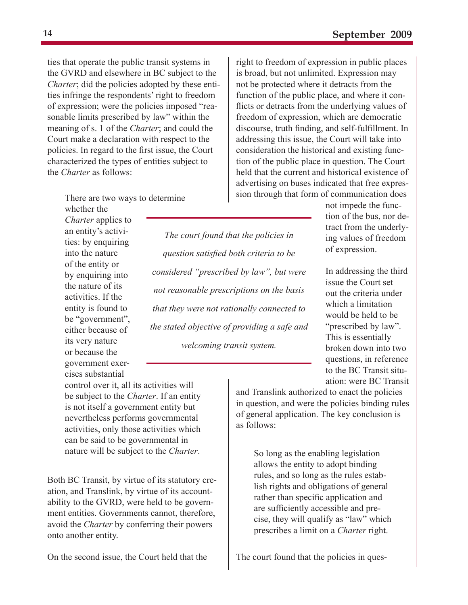ties that operate the public transit systems in the GVRD and elsewhere in BC subject to the *Charter*; did the policies adopted by these entities infringe the respondents' right to freedom of expression; were the policies imposed "reasonable limits prescribed by law" within the meaning of s. 1 of the *Charter*; and could the Court make a declaration with respect to the policies. In regard to the first issue, the Court characterized the types of entities subject to the *Charter* as follows:

right to freedom of expression in public places is broad, but not unlimited. Expression may not be protected where it detracts from the function of the public place, and where it conflicts or detracts from the underlying values of freedom of expression, which are democratic discourse, truth finding, and self-fulfillment. In addressing this issue, the Court will take into consideration the historical and existing function of the public place in question. The Court held that the current and historical existence of advertising on buses indicated that free expression through that form of communication does

There are two ways to determine whether the

*Charter* applies to an entity's activities: by enquiring into the nature of the entity or by enquiring into the nature of its activities. If the entity is found to be "government", either because of its very nature or because the government exercises substantial

*The court found that the policies in question satisfied both criteria to be considered "prescribed by law", but were not reasonable prescriptions on the basis that they were not rationally connected to the stated objective of providing a safe and welcoming transit system.* 

not impede the function of the bus, nor detract from the underlying values of freedom of expression.

In addressing the third issue the Court set out the criteria under which a limitation would be held to be "prescribed by law". This is essentially broken down into two questions, in reference to the BC Transit situation: were BC Transit

and Translink authorized to enact the policies in question, and were the policies binding rules of general application. The key conclusion is as follows:

> allows the entity to adopt binding rules, and so long as the rules establish rights and obligations of general rather than specific application and are sufficiently accessible and precise, they will qualify as "law" which prescribes a limit on a *Charter* right.

The court found that the policies in ques-

control over it, all its activities will be subject to the *Charter*. If an entity is not itself a government entity but nevertheless performs governmental activities, only those activities which can be said to be governmental in nature will be subject to the *Charter*. So long as the enabling legislation

Both BC Transit, by virtue of its statutory creation, and Translink, by virtue of its accountability to the GVRD, were held to be government entities. Governments cannot, therefore, avoid the *Charter* by conferring their powers onto another entity.

On the second issue, the Court held that the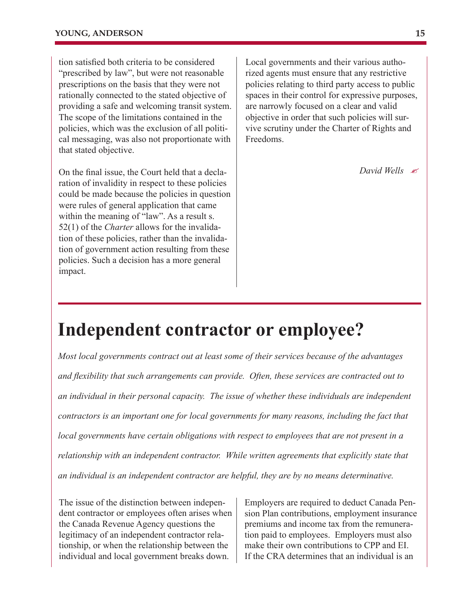tion satisfied both criteria to be considered "prescribed by law", but were not reasonable prescriptions on the basis that they were not rationally connected to the stated objective of providing a safe and welcoming transit system. The scope of the limitations contained in the policies, which was the exclusion of all political messaging, was also not proportionate with that stated objective.

On the final issue, the Court held that a declaration of invalidity in respect to these policies could be made because the policies in question were rules of general application that came within the meaning of "law". As a result s. 52(1) of the *Charter* allows for the invalidation of these policies, rather than the invalidation of government action resulting from these policies. Such a decision has a more general impact.

Local governments and their various authorized agents must ensure that any restrictive policies relating to third party access to public spaces in their control for expressive purposes, are narrowly focused on a clear and valid objective in order that such policies will survive scrutiny under the Charter of Rights and Freedoms.

*David Wells*

#### **Independent contractor or employee?**

*Most local governments contract out at least some of their services because of the advantages and flexibility that such arrangements can provide. Often, these services are contracted out to an individual in their personal capacity. The issue of whether these individuals are independent contractors is an important one for local governments for many reasons, including the fact that local governments have certain obligations with respect to employees that are not present in a relationship with an independent contractor. While written agreements that explicitly state that an individual is an independent contractor are helpful, they are by no means determinative.* 

The issue of the distinction between independent contractor or employees often arises when the Canada Revenue Agency questions the legitimacy of an independent contractor relationship, or when the relationship between the individual and local government breaks down.

Employers are required to deduct Canada Pension Plan contributions, employment insurance premiums and income tax from the remuneration paid to employees. Employers must also make their own contributions to CPP and EI. If the CRA determines that an individual is an